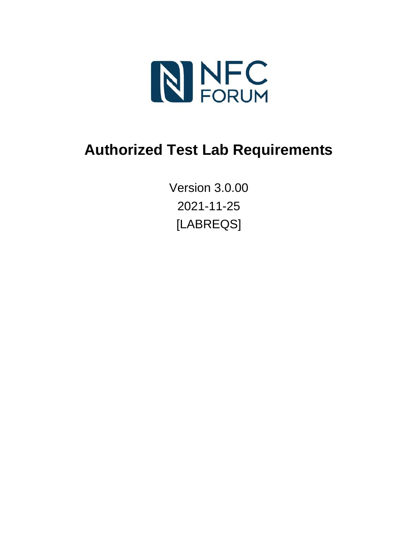

# **Authorized Test Lab Requirements**

Version 3.0.00 2021-11-25 [LABREQS]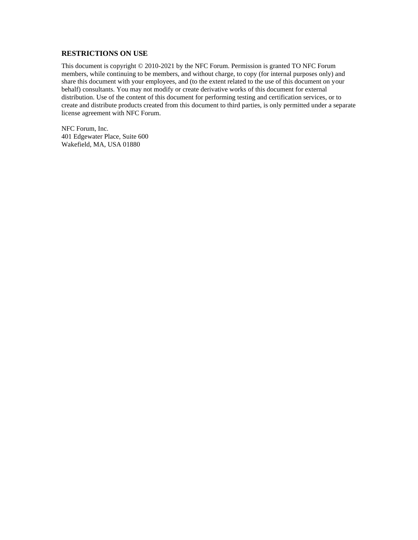#### **RESTRICTIONS ON USE**

This document is copyright © 2010-2021 by the NFC Forum. Permission is granted TO NFC Forum members, while continuing to be members, and without charge, to copy (for internal purposes only) and share this document with your employees, and (to the extent related to the use of this document on your behalf) consultants. You may not modify or create derivative works of this document for external distribution. Use of the content of this document for performing testing and certification services, or to create and distribute products created from this document to third parties, is only permitted under a separate license agreement with NFC Forum.

NFC Forum, Inc. 401 Edgewater Place, Suite 600 Wakefield, MA, USA 01880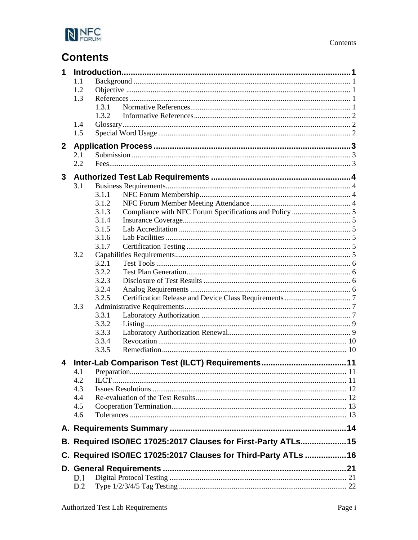

# **Contents**

| 1            |         |                                                                |  |  |
|--------------|---------|----------------------------------------------------------------|--|--|
|              | 1.1     |                                                                |  |  |
|              | 1.2     |                                                                |  |  |
|              | 1.3     |                                                                |  |  |
|              |         | 1.3.1                                                          |  |  |
|              |         | 1.3.2                                                          |  |  |
|              | 1.4     |                                                                |  |  |
|              | 1.5     |                                                                |  |  |
| $\mathbf{2}$ |         |                                                                |  |  |
|              | 2.1     |                                                                |  |  |
|              | $2.2\,$ |                                                                |  |  |
|              |         |                                                                |  |  |
| 3            |         |                                                                |  |  |
|              | 3.1     | 3.1.1                                                          |  |  |
|              |         | 3.1.2                                                          |  |  |
|              |         | 3.1.3                                                          |  |  |
|              |         | 3.1.4                                                          |  |  |
|              |         | 3.1.5                                                          |  |  |
|              |         | 3.1.6                                                          |  |  |
|              |         | 3.1.7                                                          |  |  |
|              | 3.2     |                                                                |  |  |
|              |         | 3.2.1                                                          |  |  |
|              |         | 3.2.2                                                          |  |  |
|              |         | 3.2.3                                                          |  |  |
|              |         | 3.2.4                                                          |  |  |
|              |         | 3.2.5                                                          |  |  |
|              | 3.3     |                                                                |  |  |
|              |         | 3.3.1                                                          |  |  |
|              |         | 3.3.2                                                          |  |  |
|              |         | 3.3.3                                                          |  |  |
|              |         | 3.3.4                                                          |  |  |
|              |         | 3.3.5                                                          |  |  |
| 4            |         |                                                                |  |  |
|              | 4.1     | Preparation                                                    |  |  |
|              | 4.2     |                                                                |  |  |
|              | 4.3     |                                                                |  |  |
|              | 4.4     |                                                                |  |  |
|              | 4.5     |                                                                |  |  |
|              | 4.6     |                                                                |  |  |
|              |         |                                                                |  |  |
|              |         |                                                                |  |  |
|              |         | B. Required ISO/IEC 17025:2017 Clauses for First-Party ATLs15  |  |  |
|              |         | C. Required ISO/IEC 17025:2017 Clauses for Third-Party ATLs 16 |  |  |
|              |         |                                                                |  |  |
|              | D.I     |                                                                |  |  |
|              | D.2     |                                                                |  |  |
|              |         |                                                                |  |  |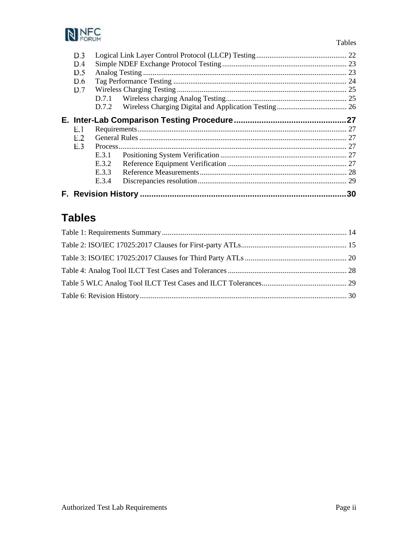

| D.3<br>D.4<br>D 5<br>D.6<br>D.7 |       | 23<br>25 |
|---------------------------------|-------|----------|
|                                 |       |          |
|                                 |       |          |
|                                 |       |          |
| E 1                             |       |          |
| E 2                             |       |          |
| E 3.                            |       | 27       |
|                                 | E.3.1 |          |
|                                 | E.3.2 |          |
|                                 | E.3.3 |          |
|                                 | E.3.4 | 29       |

# **Tables**

Tables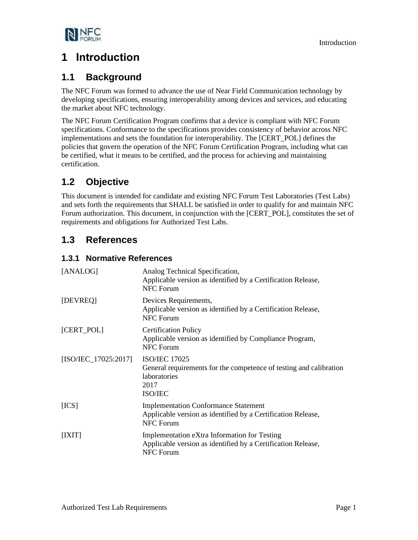

## <span id="page-4-0"></span>**1 Introduction**

## <span id="page-4-1"></span>**1.1 Background**

The NFC Forum was formed to advance the use of Near Field Communication technology by developing specifications, ensuring interoperability among devices and services, and educating the market about NFC technology.

The NFC Forum Certification Program confirms that a device is compliant with NFC Forum specifications. Conformance to the specifications provides consistency of behavior across NFC implementations and sets the foundation for interoperability. The [\[CERT\\_POL\]](#page-4-5) defines the policies that govern the operation of the NFC Forum Certification Program, including what can be certified, what it means to be certified, and the process for achieving and maintaining certification.

## <span id="page-4-2"></span>**1.2 Objective**

This document is intended for candidate and existing NFC Forum Test Laboratories (Test Labs) and sets forth the requirements that SHALL be satisfied in order to qualify for and maintain NFC Forum authorization. This document, in conjunction with the [\[CERT\\_POL\],](#page-4-5) constitutes the set of requirements and obligations for Authorized Test Labs.

## <span id="page-4-3"></span>**1.3 References**

### <span id="page-4-4"></span>**1.3.1 Normative References**

<span id="page-4-10"></span><span id="page-4-9"></span><span id="page-4-8"></span><span id="page-4-7"></span><span id="page-4-6"></span><span id="page-4-5"></span>

| [ANALOG]               | Analog Technical Specification,<br>Applicable version as identified by a Certification Release,<br><b>NFC Forum</b>              |
|------------------------|----------------------------------------------------------------------------------------------------------------------------------|
| [DEVREQ]               | Devices Requirements,<br>Applicable version as identified by a Certification Release,<br><b>NFC Forum</b>                        |
| [CERT_POL]             | <b>Certification Policy</b><br>Applicable version as identified by Compliance Program,<br>NFC Forum                              |
| $[ISO/IEC_17025:2017]$ | <b>ISO/IEC 17025</b><br>General requirements for the competence of testing and calibration<br>laboratories<br>2017<br>ISO/IEC    |
| [ICS]                  | <b>Implementation Conformance Statement</b><br>Applicable version as identified by a Certification Release,<br><b>NFC Forum</b>  |
| [IXIT]                 | Implementation eXtra Information for Testing<br>Applicable version as identified by a Certification Release,<br><b>NFC Forum</b> |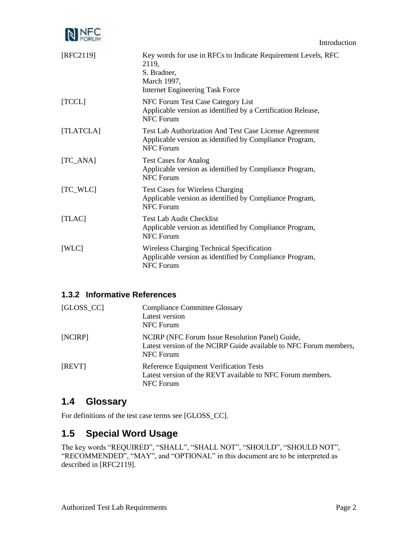

<span id="page-5-10"></span><span id="page-5-7"></span><span id="page-5-4"></span>

| [RFC2119]  | Key words for use in RFCs to Indicate Requirement Levels, RFC<br>2119,<br>S. Bradner,<br>March 1997,<br><b>Internet Engineering Task Force</b> |
|------------|------------------------------------------------------------------------------------------------------------------------------------------------|
| [TCCL]     | NFC Forum Test Case Category List<br>Applicable version as identified by a Certification Release,<br>NFC Forum                                 |
| [TLATCLA]  | Test Lab Authorization And Test Case License Agreement<br>Applicable version as identified by Compliance Program,<br>NFC Forum                 |
| $[TC_ANA]$ | <b>Test Cases for Analog</b><br>Applicable version as identified by Compliance Program,<br>NFC Forum                                           |
| $TC_WLC$   | <b>Test Cases for Wireless Charging</b><br>Applicable version as identified by Compliance Program,<br>NFC Forum                                |
| [TLAC]     | <b>Test Lab Audit Checklist</b><br>Applicable version as identified by Compliance Program,<br><b>NFC Forum</b>                                 |
| [WLC]      | <b>Wireless Charging Technical Specification</b><br>Applicable version as identified by Compliance Program,<br><b>NFC</b> Forum                |

### <span id="page-5-9"></span><span id="page-5-6"></span><span id="page-5-5"></span><span id="page-5-0"></span>**1.3.2 Informative References**

<span id="page-5-3"></span>

| $[GLOSS\_CC]$ | <b>Compliance Committee Glossary</b><br>Latest version<br>NFC Forum                                                               |
|---------------|-----------------------------------------------------------------------------------------------------------------------------------|
| [NCIRP]       | NCIRP (NFC Forum Issue Resolution Panel) Guide,<br>Latest version of the NCIRP Guide available to NFC Forum members,<br>NFC Forum |
| [REVT]        | Reference Equipment Verification Tests<br>Latest version of the REVT available to NFC Forum members.<br>NFC Forum                 |

### <span id="page-5-8"></span><span id="page-5-1"></span>**1.4 Glossary**

For definitions of the test case terms see [\[GLOSS\\_CC\].](#page-5-3)

## <span id="page-5-2"></span>**1.5 Special Word Usage**

The key words "REQUIRED", "SHALL", "SHALL NOT", "SHOULD", "SHOULD NOT", "RECOMMENDED", "MAY", and "OPTIONAL" in this document are to be interpreted as described in [RFC2119].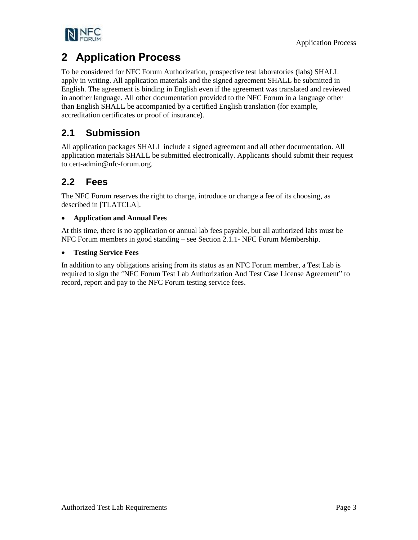

## <span id="page-6-0"></span>**2 Application Process**

To be considered for NFC Forum Authorization, prospective test laboratories (labs) SHALL apply in writing. All application materials and the signed agreement SHALL be submitted in English. The agreement is binding in English even if the agreement was translated and reviewed in another language. All other documentation provided to the NFC Forum in a language other than English SHALL be accompanied by a certified English translation (for example, accreditation certificates or proof of insurance).

## <span id="page-6-1"></span>**2.1 Submission**

All application packages SHALL include a signed agreement and all other documentation. All application materials SHALL be submitted electronically. Applicants should submit their request to cert-admin@nfc-forum.org.

## <span id="page-6-2"></span>**2.2 Fees**

The NFC Forum reserves the right to charge, introduce or change a fee of its choosing, as described in [\[TLATCLA\].](#page-5-4)

### • **Application and Annual Fees**

At this time, there is no application or annual lab fees payable, but all authorized labs must be NFC Forum members in good standing – see Section 2.1.1- NFC Forum Membership.

### • **Testing Service Fees**

In addition to any obligations arising from its status as an NFC Forum member, a Test Lab is required to sign the "NFC Forum Test Lab Authorization And Test Case License Agreement" to record, report and pay to the NFC Forum testing service fees.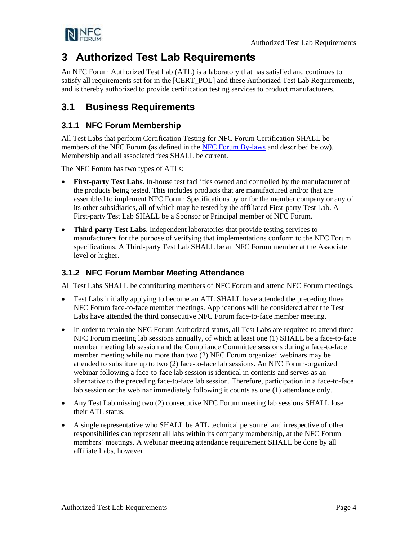



## <span id="page-7-0"></span>**3 Authorized Test Lab Requirements**

An NFC Forum Authorized Test Lab (ATL) is a laboratory that has satisfied and continues to satisfy all requirements set for in the [\[CERT\\_POL\]](#page-4-5) and these Authorized Test Lab Requirements, and is thereby authorized to provide certification testing services to product manufacturers.

## <span id="page-7-1"></span>**3.1 Business Requirements**

### <span id="page-7-2"></span>**3.1.1 NFC Forum Membership**

All Test Labs that perform Certification Testing for NFC Forum Certification SHALL be members of the NFC Forum (as defined in the [NFC Forum By-laws](http://nfc-forum.org/wp-content/uploads/2013/11/NFC-Forum-By-laws.pdf) and described below). Membership and all associated fees SHALL be current.

The NFC Forum has two types of ATLs:

- **First-party Test Labs.** In-house test facilities owned and controlled by the manufacturer of the products being tested. This includes products that are manufactured and/or that are assembled to implement NFC Forum Specifications by or for the member company or any of its other subsidiaries, all of which may be tested by the affiliated First-party Test Lab. A First-party Test Lab SHALL be a Sponsor or Principal member of NFC Forum.
- **Third-party Test Labs**. Independent laboratories that provide testing services to manufacturers for the purpose of verifying that implementations conform to the NFC Forum specifications. A Third-party Test Lab SHALL be an NFC Forum member at the Associate level or higher.

### <span id="page-7-3"></span>**3.1.2 NFC Forum Member Meeting Attendance**

All Test Labs SHALL be contributing members of NFC Forum and attend NFC Forum meetings.

- Test Labs initially applying to become an ATL SHALL have attended the preceding three NFC Forum face-to-face member meetings. Applications will be considered after the Test Labs have attended the third consecutive NFC Forum face-to-face member meeting.
- In order to retain the NFC Forum Authorized status, all Test Labs are required to attend three NFC Forum meeting lab sessions annually, of which at least one (1) SHALL be a face-to-face member meeting lab session and the Compliance Committee sessions during a face-to-face member meeting while no more than two (2) NFC Forum organized webinars may be attended to substitute up to two (2) face-to-face lab sessions. An NFC Forum-organized webinar following a face-to-face lab session is identical in contents and serves as an alternative to the preceding face-to-face lab session. Therefore, participation in a face-to-face lab session or the webinar immediately following it counts as one (1) attendance only.
- Any Test Lab missing two (2) consecutive NFC Forum meeting lab sessions SHALL lose their ATL status.
- A single representative who SHALL be ATL technical personnel and irrespective of other responsibilities can represent all labs within its company membership, at the NFC Forum members' meetings. A webinar meeting attendance requirement SHALL be done by all affiliate Labs, however.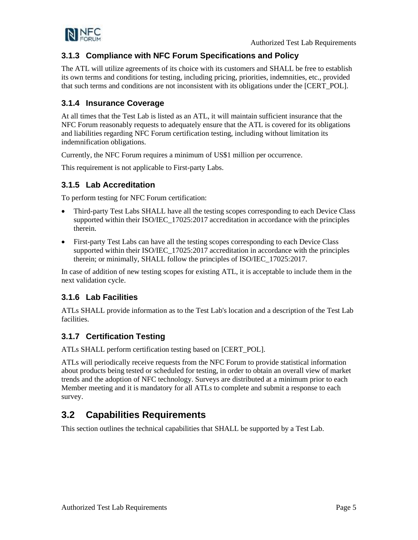

### <span id="page-8-0"></span>**3.1.3 Compliance with NFC Forum Specifications and Policy**

The ATL will utilize agreements of its choice with its customers and SHALL be free to establish its own terms and conditions for testing, including pricing, priorities, indemnities, etc., provided that such terms and conditions are not inconsistent with its obligations under the [\[CERT\\_POL\].](#page-4-5)

### <span id="page-8-1"></span>**3.1.4 Insurance Coverage**

At all times that the Test Lab is listed as an ATL, it will maintain sufficient insurance that the NFC Forum reasonably requests to adequately ensure that the ATL is covered for its obligations and liabilities regarding NFC Forum certification testing, including without limitation its indemnification obligations.

Currently, the NFC Forum requires a minimum of US\$1 million per occurrence.

This requirement is not applicable to First-party Labs.

### <span id="page-8-2"></span>**3.1.5 Lab Accreditation**

To perform testing for NFC Forum certification:

- Third-party Test Labs SHALL have all the testing scopes corresponding to each Device Class supported within their [ISO/IEC\\_17025:2017](#page-4-6) accreditation in accordance with the principles therein.
- First-party Test Labs can have all the testing scopes corresponding to each Device Class supported within their ISO/IEC 17025:2017 accreditation in accordance with the principles therein; or minimally, SHALL follow the principles o[f ISO/IEC\\_17025:2017.](#page-4-6)

In case of addition of new testing scopes for existing ATL, it is acceptable to include them in the next validation cycle.

### <span id="page-8-3"></span>**3.1.6 Lab Facilities**

ATLs SHALL provide information as to the Test Lab's location and a description of the Test Lab facilities.

### <span id="page-8-4"></span>**3.1.7 Certification Testing**

ATLs SHALL perform certification testing based on [\[CERT\\_POL\].](#page-4-5)

ATLs will periodically receive requests from the NFC Forum to provide statistical information about products being tested or scheduled for testing, in order to obtain an overall view of market trends and the adoption of NFC technology. Surveys are distributed at a minimum prior to each Member meeting and it is mandatory for all ATLs to complete and submit a response to each survey.

## <span id="page-8-5"></span>**3.2 Capabilities Requirements**

This section outlines the technical capabilities that SHALL be supported by a Test Lab.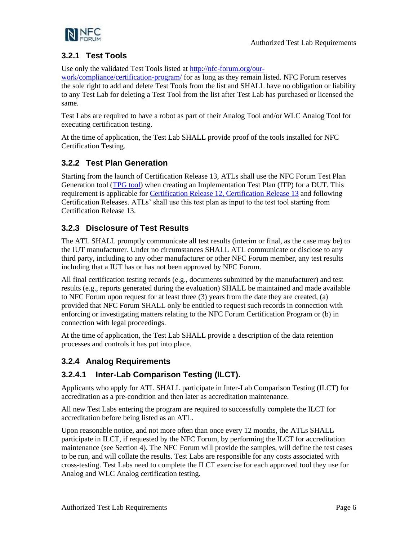

### <span id="page-9-0"></span>**3.2.1 Test Tools**

Use only the validated Test Tools listed at [http://nfc-forum.org/our-](http://nfc-forum.org/our-work/compliance/certification-program/)

[work/compliance/certification-program/](http://nfc-forum.org/our-work/compliance/certification-program/) for as long as they remain listed. NFC Forum reserves the sole right to add and delete Test Tools from the list and SHALL have no obligation or liability to any Test Lab for deleting a Test Tool from the list after Test Lab has purchased or licensed the same.

Test Labs are required to have a robot as part of their Analog Tool and/or WLC Analog Tool for executing certification testing.

At the time of application, the Test Lab SHALL provide proof of the tools installed for NFC Certification Testing.

### <span id="page-9-1"></span>**3.2.2 Test Plan Generation**

Starting from the launch of Certification Release 13, ATLs shall use the NFC Forum Test Plan Generation tool [\(TPG tool\)](https://nfc-forum-itp.com/) when creating an Implementation Test Plan (ITP) for a DUT. This requirement is applicable for [Certification Release 12, Certification Release 13](https://nfc-forum.org/our-work/compliance/certification-program/certification-releases/) and following Certification Releases. ATLs' shall use this test plan as input to the test tool starting from Certification Release 13.

### <span id="page-9-2"></span>**3.2.3 Disclosure of Test Results**

The ATL SHALL promptly communicate all test results (interim or final, as the case may be) to the IUT manufacturer. Under no circumstances SHALL ATL communicate or disclose to any third party, including to any other manufacturer or other NFC Forum member, any test results including that a IUT has or has not been approved by NFC Forum.

All final certification testing records (e.g., documents submitted by the manufacturer) and test results (e.g., reports generated during the evaluation) SHALL be maintained and made available to NFC Forum upon request for at least three (3) years from the date they are created, (a) provided that NFC Forum SHALL only be entitled to request such records in connection with enforcing or investigating matters relating to the NFC Forum Certification Program or (b) in connection with legal proceedings.

At the time of application, the Test Lab SHALL provide a description of the data retention processes and controls it has put into place.

### <span id="page-9-3"></span>**3.2.4 Analog Requirements**

### **3.2.4.1 Inter-Lab Comparison Testing (ILCT).**

Applicants who apply for ATL SHALL participate in Inter-Lab Comparison Testing (ILCT) for accreditation as a pre-condition and then later as accreditation maintenance.

All new Test Labs entering the program are required to successfully complete the ILCT for accreditation before being listed as an ATL.

Upon reasonable notice, and not more often than once every 12 months, the ATLs SHALL participate in ILCT, if requested by the NFC Forum, by performing the ILCT for accreditation maintenance (see Section [4\)](#page-14-0). The NFC Forum will provide the samples, will define the test cases to be run, and will collate the results. Test Labs are responsible for any costs associated with cross-testing. Test Labs need to complete the ILCT exercise for each approved tool they use for Analog and WLC Analog certification testing.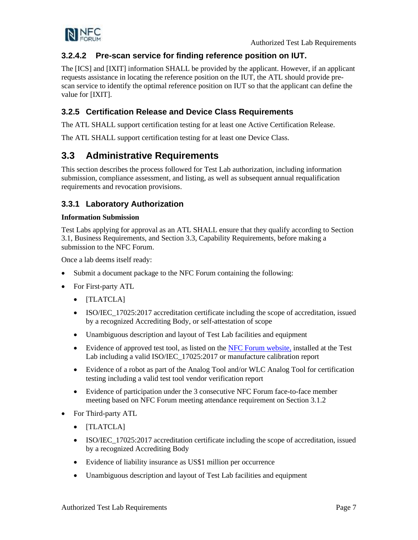

### **3.2.4.2 Pre-scan service for finding reference position on IUT.**

The [\[ICS\]](#page-4-7) and [\[IXIT\]](#page-4-8) information SHALL be provided by the applicant. However, if an applicant requests assistance in locating the reference position on the IUT, the ATL should provide prescan service to identify the optimal reference position on IUT so that the applicant can define the value for [\[IXIT\].](#page-4-8)

### <span id="page-10-0"></span>**3.2.5 Certification Release and Device Class Requirements**

The ATL SHALL support certification testing for at least one Active Certification Release.

The ATL SHALL support certification testing for at least one Device Class.

### <span id="page-10-1"></span>**3.3 Administrative Requirements**

This section describes the process followed for Test Lab authorization, including information submission, compliance assessment, and listing, as well as subsequent annual requalification requirements and revocation provisions.

### <span id="page-10-2"></span>**3.3.1 Laboratory Authorization**

#### **Information Submission**

Test Labs applying for approval as an ATL SHALL ensure that they qualify according to Section [3.1,](#page-7-1) Business Requirements, and Section [3.3,](#page-10-1) Capability Requirements, before making a submission to the NFC Forum.

Once a lab deems itself ready:

- Submit a document package to the NFC Forum containing the following:
- For First-party ATL
	- [\[TLATCLA\]](#page-5-4)
	- ISO/IEC<sub>1</sub>7025:2017 accreditation certificate including the scope of accreditation, issued by a recognized Accrediting Body, or self-attestation of scope
	- Unambiguous description and layout of Test Lab facilities and equipment
	- Evidence of approved test tool, as listed on the [NFC Forum website,](http://nfc-forum.org/our-work/compliance/certification-program/) installed at the Test Lab including a valid [ISO/IEC\\_17025:2017](#page-4-6) or manufacture calibration report
	- Evidence of a robot as part of the Analog Tool and/or WLC Analog Tool for certification testing including a valid test tool vendor verification report
	- Evidence of participation under the 3 consecutive NFC Forum face-to-face member meeting based on NFC Forum meeting attendance requirement on Section [3.1.2](#page-7-3)
- For Third-party ATL
	- [\[TLATCLA\]](#page-5-4)
	- ISO/IEC 17025:2017 accreditation certificate including the scope of accreditation, issued by a recognized Accrediting Body
	- Evidence of liability insurance as US\$1 million per occurrence
	- Unambiguous description and layout of Test Lab facilities and equipment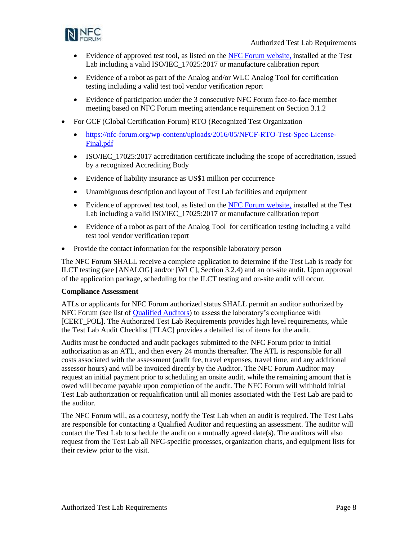

- Evidence of approved test tool, as listed on the [NFC Forum website,](http://nfc-forum.org/our-work/compliance/certification-program/) installed at the Test Lab including a valid [ISO/IEC\\_17025:2017](#page-4-6) or manufacture calibration report
- Evidence of a robot as part of the Analog and/or WLC Analog Tool for certification testing including a valid test tool vendor verification report
- Evidence of participation under the 3 consecutive NFC Forum face-to-face member meeting based on NFC Forum meeting attendance requirement on Section [3.1.2](#page-7-3)
- For GCF (Global Certification Forum) RTO (Recognized Test Organization
	- [https://nfc-forum.org/wp-content/uploads/2016/05/NFCF-RTO-Test-Spec-License-](https://eur01.safelinks.protection.outlook.com/?url=https%3A%2F%2Fnfc-forum.org%2Fwp-content%2Fuploads%2F2016%2F05%2FNFCF-RTO-Test-Spec-License-Final.pdf&data=02%7C01%7Chenk.dannenberg%40nxp.com%7C99addceba5ae439bfea908d832f7204e%7C686ea1d3bc2b4c6fa92cd99c5c301635%7C0%7C1%7C637315384270742941&sdata=Ux2ltuGbB%2FqDPBC2omkxN4RK3W5mvsSCPyBVlbFK%2Fds%3D&reserved=0)[Final.pdf](https://eur01.safelinks.protection.outlook.com/?url=https%3A%2F%2Fnfc-forum.org%2Fwp-content%2Fuploads%2F2016%2F05%2FNFCF-RTO-Test-Spec-License-Final.pdf&data=02%7C01%7Chenk.dannenberg%40nxp.com%7C99addceba5ae439bfea908d832f7204e%7C686ea1d3bc2b4c6fa92cd99c5c301635%7C0%7C1%7C637315384270742941&sdata=Ux2ltuGbB%2FqDPBC2omkxN4RK3W5mvsSCPyBVlbFK%2Fds%3D&reserved=0)
	- ISO/IEC<sub>1</sub>7025:2017 accreditation certificate including the scope of accreditation, issued by a recognized Accrediting Body
	- Evidence of liability insurance as US\$1 million per occurrence
	- Unambiguous description and layout of Test Lab facilities and equipment
	- Evidence of approved test tool, as listed on the [NFC Forum website,](http://nfc-forum.org/our-work/compliance/certification-program/) installed at the Test Lab including a valid [ISO/IEC\\_17025:2017](#page-4-6) or manufacture calibration report
	- Evidence of a robot as part of the Analog Tool for certification testing including a valid test tool vendor verification report
- Provide the contact information for the responsible laboratory person

The NFC Forum SHALL receive a complete application to determine if the Test Lab is ready for ILCT testing (see [\[ANALOG\]](#page-4-9) and/or [\[WLC\],](#page-5-5) Section [3.2.4\)](#page-9-3) and an on-site audit. Upon approval of the application package, scheduling for the ILCT testing and on-site audit will occur.

#### **Compliance Assessment**

ATLs or applicants for NFC Forum authorized status SHALL permit an auditor authorized by NFC Forum (see list o[f Qualified Auditors\)](http://nfc-forum.org/our-work/compliance/certification-program/labs-test-tools/test-lab-authorization-process/) to assess the laboratory's compliance with [\[CERT\\_POL\].](#page-4-5) The Authorized Test Lab Requirements provides high level requirements, while the Test Lab Audit Checklist [\[TLAC\]](#page-5-6) provides a detailed list of items for the audit.

Audits must be conducted and audit packages submitted to the NFC Forum prior to initial authorization as an ATL, and then every 24 months thereafter. The ATL is responsible for all costs associated with the assessment (audit fee, travel expenses, travel time, and any additional assessor hours) and will be invoiced directly by the Auditor. The NFC Forum Auditor may request an initial payment prior to scheduling an onsite audit, while the remaining amount that is owed will become payable upon completion of the audit. The NFC Forum will withhold initial Test Lab authorization or requalification until all monies associated with the Test Lab are paid to the auditor.

The NFC Forum will, as a courtesy, notify the Test Lab when an audit is required. The Test Labs are responsible for contacting a Qualified Auditor and requesting an assessment. The auditor will contact the Test Lab to schedule the audit on a mutually agreed date(s). The auditors will also request from the Test Lab all NFC-specific processes, organization charts, and equipment lists for their review prior to the visit.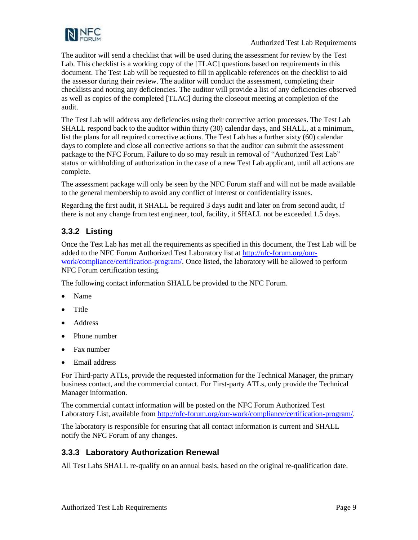

The auditor will send a checklist that will be used during the assessment for review by the Test Lab. This checklist is a working copy of the [\[TLAC\]](#page-5-6) questions based on requirements in this document. The Test Lab will be requested to fill in applicable references on the checklist to aid the assessor during their review. The auditor will conduct the assessment, completing their checklists and noting any deficiencies. The auditor will provide a list of any deficiencies observed as well as copies of the completed [\[TLAC\]](#page-5-6) during the closeout meeting at completion of the audit.

The Test Lab will address any deficiencies using their corrective action processes. The Test Lab SHALL respond back to the auditor within thirty (30) calendar days, and SHALL, at a minimum, list the plans for all required corrective actions. The Test Lab has a further sixty (60) calendar days to complete and close all corrective actions so that the auditor can submit the assessment package to the NFC Forum. Failure to do so may result in removal of "Authorized Test Lab" status or withholding of authorization in the case of a new Test Lab applicant, until all actions are complete.

The assessment package will only be seen by the NFC Forum staff and will not be made available to the general membership to avoid any conflict of interest or confidentiality issues.

Regarding the first audit, it SHALL be required 3 days audit and later on from second audit, if there is not any change from test engineer, tool, facility, it SHALL not be exceeded 1.5 days.

### <span id="page-12-0"></span>**3.3.2 Listing**

Once the Test Lab has met all the requirements as specified in this document, the Test Lab will be added to the NFC Forum Authorized Test Laboratory list at [http://nfc-forum.org/our](http://nfc-forum.org/our-work/compliance/certification-program/)[work/compliance/certification-program/.](http://nfc-forum.org/our-work/compliance/certification-program/) Once listed, the laboratory will be allowed to perform NFC Forum certification testing.

The following contact information SHALL be provided to the NFC Forum.

- Name
- Title
- Address
- Phone number
- Fax number
- Email address

For Third-party ATLs, provide the requested information for the Technical Manager, the primary business contact, and the commercial contact. For First-party ATLs, only provide the Technical Manager information.

The commercial contact information will be posted on the NFC Forum Authorized Test Laboratory List, available fro[m http://nfc-forum.org/our-work/compliance/certification-program/.](http://nfc-forum.org/our-work/compliance/certification-program/)

The laboratory is responsible for ensuring that all contact information is current and SHALL notify the NFC Forum of any changes.

### <span id="page-12-1"></span>**3.3.3 Laboratory Authorization Renewal**

All Test Labs SHALL re-qualify on an annual basis, based on the original re-qualification date.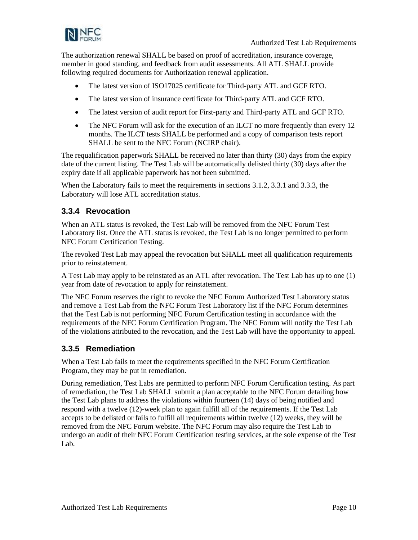

The authorization renewal SHALL be based on proof of accreditation, insurance coverage, member in good standing, and feedback from audit assessments. All ATL SHALL provide following required documents for Authorization renewal application.

- The latest version of ISO17025 certificate for Third-party ATL and GCF RTO.
- The latest version of insurance certificate for Third-party ATL and GCF RTO.
- The latest version of audit report for First-party and Third-party ATL and GCF RTO.
- The NFC Forum will ask for the execution of an ILCT no more frequently than every 12 months. The ILCT tests SHALL be performed and a copy of comparison tests report SHALL be sent to the NFC Forum (NCIRP chair).

The requalification paperwork SHALL be received no later than thirty (30) days from the expiry date of the current listing. The Test Lab will be automatically delisted thirty (30) days after the expiry date if all applicable paperwork has not been submitted.

When the Laboratory fails to meet the requirements in sections [3.1.2,](#page-7-3) [3.3.1](#page-10-2) and [3.3.3,](#page-12-1) the Laboratory will lose ATL accreditation status.

### <span id="page-13-0"></span>**3.3.4 Revocation**

When an ATL status is revoked, the Test Lab will be removed from the NFC Forum Test Laboratory list. Once the ATL status is revoked, the Test Lab is no longer permitted to perform NFC Forum Certification Testing.

The revoked Test Lab may appeal the revocation but SHALL meet all qualification requirements prior to reinstatement.

A Test Lab may apply to be reinstated as an ATL after revocation. The Test Lab has up to one (1) year from date of revocation to apply for reinstatement.

The NFC Forum reserves the right to revoke the NFC Forum Authorized Test Laboratory status and remove a Test Lab from the NFC Forum Test Laboratory list if the NFC Forum determines that the Test Lab is not performing NFC Forum Certification testing in accordance with the requirements of the NFC Forum Certification Program. The NFC Forum will notify the Test Lab of the violations attributed to the revocation, and the Test Lab will have the opportunity to appeal.

### <span id="page-13-1"></span>**3.3.5 Remediation**

When a Test Lab fails to meet the requirements specified in the NFC Forum Certification Program, they may be put in remediation.

During remediation, Test Labs are permitted to perform NFC Forum Certification testing. As part of remediation, the Test Lab SHALL submit a plan acceptable to the NFC Forum detailing how the Test Lab plans to address the violations within fourteen (14) days of being notified and respond with a twelve (12)-week plan to again fulfill all of the requirements. If the Test Lab accepts to be delisted or fails to fulfill all requirements within twelve (12) weeks, they will be removed from the NFC Forum website. The NFC Forum may also require the Test Lab to undergo an audit of their NFC Forum Certification testing services, at the sole expense of the Test Lab.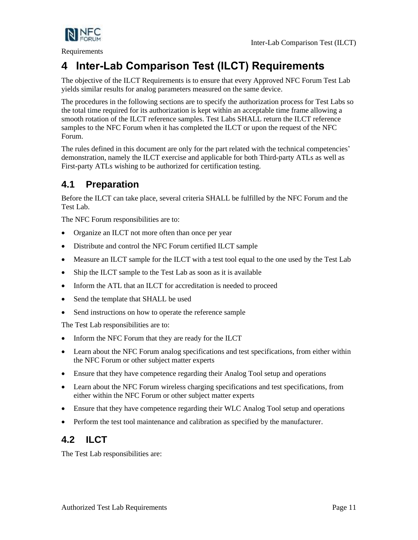

Requirements

# <span id="page-14-0"></span>**4 Inter-Lab Comparison Test (ILCT) Requirements**

The objective of the ILCT Requirements is to ensure that every Approved NFC Forum Test Lab yields similar results for analog parameters measured on the same device.

The procedures in the following sections are to specify the authorization process for Test Labs so the total time required for its authorization is kept within an acceptable time frame allowing a smooth rotation of the ILCT reference samples. Test Labs SHALL return the ILCT reference samples to the NFC Forum when it has completed the ILCT or upon the request of the NFC Forum.

The rules defined in this document are only for the part related with the technical competencies' demonstration, namely the ILCT exercise and applicable for both Third-party ATLs as well as First-party ATLs wishing to be authorized for certification testing.

## <span id="page-14-1"></span>**4.1 Preparation**

Before the ILCT can take place, several criteria SHALL be fulfilled by the NFC Forum and the Test Lab.

The NFC Forum responsibilities are to:

- Organize an ILCT not more often than once per year
- Distribute and control the NFC Forum certified ILCT sample
- Measure an ILCT sample for the ILCT with a test tool equal to the one used by the Test Lab
- Ship the ILCT sample to the Test Lab as soon as it is available
- Inform the ATL that an ILCT for accreditation is needed to proceed
- Send the template that SHALL be used
- Send instructions on how to operate the reference sample

The Test Lab responsibilities are to:

- Inform the NFC Forum that they are ready for the ILCT
- Learn about the NFC Forum analog specifications and test specifications, from either within the NFC Forum or other subject matter experts
- Ensure that they have competence regarding their Analog Tool setup and operations
- Learn about the NFC Forum wireless charging specifications and test specifications, from either within the NFC Forum or other subject matter experts
- Ensure that they have competence regarding their WLC Analog Tool setup and operations
- Perform the test tool maintenance and calibration as specified by the manufacturer.

## <span id="page-14-2"></span>**4.2 ILCT**

The Test Lab responsibilities are: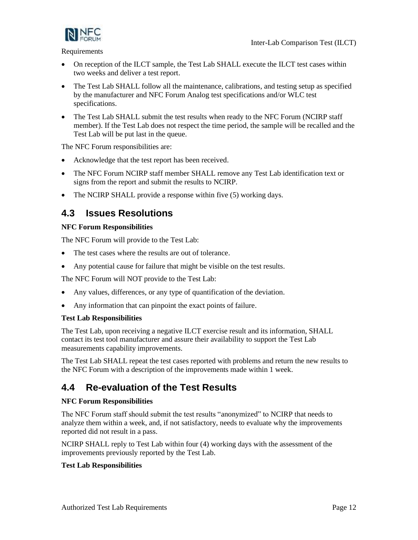

Requirements

- On reception of the ILCT sample, the Test Lab SHALL execute the ILCT test cases within two weeks and deliver a test report.
- The Test Lab SHALL follow all the maintenance, calibrations, and testing setup as specified by the manufacturer and NFC Forum Analog test specifications and/or WLC test specifications.
- The Test Lab SHALL submit the test results when ready to the NFC Forum (NCIRP staff member). If the Test Lab does not respect the time period, the sample will be recalled and the Test Lab will be put last in the queue.

The NFC Forum responsibilities are:

- Acknowledge that the test report has been received.
- The NFC Forum NCIRP staff member SHALL remove any Test Lab identification text or signs from the report and submit the results to NCIRP.
- The NCIRP SHALL provide a response within five (5) working days.

## <span id="page-15-0"></span>**4.3 Issues Resolutions**

### **NFC Forum Responsibilities**

The NFC Forum will provide to the Test Lab:

- The test cases where the results are out of tolerance.
- Any potential cause for failure that might be visible on the test results.

The NFC Forum will NOT provide to the Test Lab:

- Any values, differences, or any type of quantification of the deviation.
- Any information that can pinpoint the exact points of failure.

#### **Test Lab Responsibilities**

The Test Lab, upon receiving a negative ILCT exercise result and its information, SHALL contact its test tool manufacturer and assure their availability to support the Test Lab measurements capability improvements.

The Test Lab SHALL repeat the test cases reported with problems and return the new results to the NFC Forum with a description of the improvements made within 1 week.

## <span id="page-15-1"></span>**4.4 Re-evaluation of the Test Results**

### **NFC Forum Responsibilities**

The NFC Forum staff should submit the test results "anonymized" to NCIRP that needs to analyze them within a week, and, if not satisfactory, needs to evaluate why the improvements reported did not result in a pass.

NCIRP SHALL reply to Test Lab within four (4) working days with the assessment of the improvements previously reported by the Test Lab.

#### **Test Lab Responsibilities**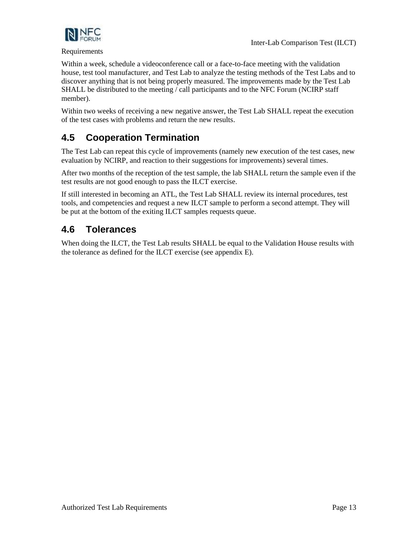

#### Requirements

Within a week, schedule a videoconference call or a face-to-face meeting with the validation house, test tool manufacturer, and Test Lab to analyze the testing methods of the Test Labs and to discover anything that is not being properly measured. The improvements made by the Test Lab SHALL be distributed to the meeting / call participants and to the NFC Forum (NCIRP staff member).

Within two weeks of receiving a new negative answer, the Test Lab SHALL repeat the execution of the test cases with problems and return the new results.

## <span id="page-16-0"></span>**4.5 Cooperation Termination**

The Test Lab can repeat this cycle of improvements (namely new execution of the test cases, new evaluation by NCIRP, and reaction to their suggestions for improvements) several times.

After two months of the reception of the test sample, the lab SHALL return the sample even if the test results are not good enough to pass the ILCT exercise.

If still interested in becoming an ATL, the Test Lab SHALL review its internal procedures, test tools, and competencies and request a new ILCT sample to perform a second attempt. They will be put at the bottom of the exiting ILCT samples requests queue.

## <span id="page-16-1"></span>**4.6 Tolerances**

When doing the ILCT, the Test Lab results SHALL be equal to the Validation House results with the tolerance as defined for the ILCT exercise (see appendix [E\)](#page-30-0).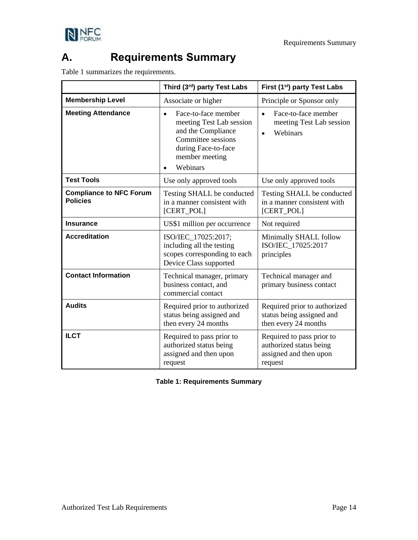



## <span id="page-17-0"></span>**A. Requirements Summary**

[Table 1](#page-17-1) summarizes the requirements.

|                                                   | Third (3rd) party Test Labs                                                                                                                                   | First (1 <sup>st</sup> ) party Test Labs                                                  |
|---------------------------------------------------|---------------------------------------------------------------------------------------------------------------------------------------------------------------|-------------------------------------------------------------------------------------------|
| <b>Membership Level</b>                           | Associate or higher                                                                                                                                           | Principle or Sponsor only                                                                 |
| <b>Meeting Attendance</b>                         | Face-to-face member<br>$\bullet$<br>meeting Test Lab session<br>and the Compliance<br>Committee sessions<br>during Face-to-face<br>member meeting<br>Webinars | Face-to-face member<br>$\bullet$<br>meeting Test Lab session<br>Webinars<br>$\bullet$     |
| <b>Test Tools</b>                                 | Use only approved tools                                                                                                                                       | Use only approved tools                                                                   |
| <b>Compliance to NFC Forum</b><br><b>Policies</b> | Testing SHALL be conducted<br>in a manner consistent with<br>[CERT_POL]                                                                                       | Testing SHALL be conducted<br>in a manner consistent with<br>[CERT_POL]                   |
| <b>Insurance</b>                                  | US\$1 million per occurrence                                                                                                                                  | Not required                                                                              |
| <b>Accreditation</b>                              | ISO/IEC_17025:2017;<br>including all the testing<br>scopes corresponding to each<br>Device Class supported                                                    | Minimally SHALL follow<br>ISO/IEC_17025:2017<br>principles                                |
| <b>Contact Information</b>                        | Technical manager, primary<br>business contact, and<br>commercial contact                                                                                     | Technical manager and<br>primary business contact                                         |
| <b>Audits</b>                                     | Required prior to authorized<br>status being assigned and<br>then every 24 months                                                                             | Required prior to authorized<br>status being assigned and<br>then every 24 months         |
| <b>ILCT</b>                                       | Required to pass prior to<br>authorized status being<br>assigned and then upon<br>request                                                                     | Required to pass prior to<br>authorized status being<br>assigned and then upon<br>request |

### <span id="page-17-1"></span>**Table 1: Requirements Summary**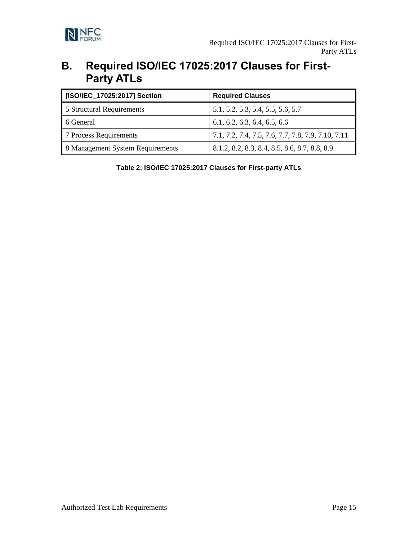

## <span id="page-18-0"></span>**B. Required ISO/IEC 17025:2017 Clauses for First-Party ATLs**

| [ISO/IEC_17025:2017] Section     | <b>Required Clauses</b>                            |
|----------------------------------|----------------------------------------------------|
| 5 Structural Requirements        | 5.1, 5.2, 5.3, 5.4, 5.5, 5.6, 5.7                  |
| 6 General                        | 6.1, 6.2, 6.3, 6.4, 6.5, 6.6                       |
| 7 Process Requirements           | 7.1, 7.2, 7.4, 7.5, 7.6, 7.7, 7.8, 7.9, 7.10, 7.11 |
| 8 Management System Requirements | 8.1.2, 8.2, 8.3, 8.4, 8.5, 8.6, 8.7, 8.8, 8.9      |

<span id="page-18-1"></span>**Table 2: ISO/IEC 17025:2017 Clauses for First-party ATLs**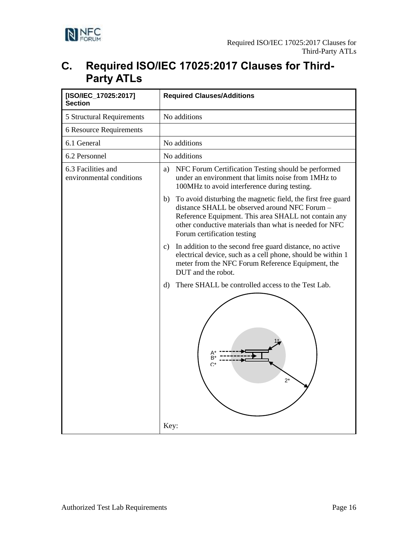

## <span id="page-19-0"></span>**C. Required ISO/IEC 17025:2017 Clauses for Third-Party ATLs**

| [ISO/IEC_17025:2017]<br><b>Section</b>         | <b>Required Clauses/Additions</b>                                                                                                                                                                                                                                    |
|------------------------------------------------|----------------------------------------------------------------------------------------------------------------------------------------------------------------------------------------------------------------------------------------------------------------------|
| 5 Structural Requirements                      | No additions                                                                                                                                                                                                                                                         |
| <b>6 Resource Requirements</b>                 |                                                                                                                                                                                                                                                                      |
| 6.1 General                                    | No additions                                                                                                                                                                                                                                                         |
| 6.2 Personnel                                  | No additions                                                                                                                                                                                                                                                         |
| 6.3 Facilities and<br>environmental conditions | NFC Forum Certification Testing should be performed<br>a)<br>under an environment that limits noise from 1MHz to<br>100MHz to avoid interference during testing.                                                                                                     |
|                                                | b)<br>To avoid disturbing the magnetic field, the first free guard<br>distance SHALL be observed around NFC Forum -<br>Reference Equipment. This area SHALL not contain any<br>other conductive materials than what is needed for NFC<br>Forum certification testing |
|                                                | In addition to the second free guard distance, no active<br>C)<br>electrical device, such as a cell phone, should be within 1<br>meter from the NFC Forum Reference Equipment, the<br>DUT and the robot.                                                             |
|                                                | There SHALL be controlled access to the Test Lab.<br>d)<br>B<br>C<br>$2^*$<br>Key:                                                                                                                                                                                   |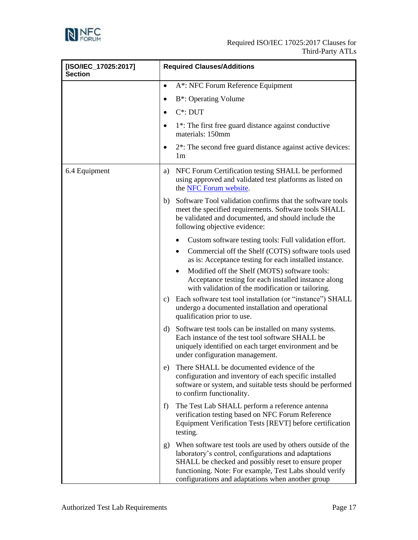

| [ISO/IEC_17025:2017]<br><b>Section</b> | <b>Required Clauses/Additions</b>                                                                                                                                                                                                                                                                |  |
|----------------------------------------|--------------------------------------------------------------------------------------------------------------------------------------------------------------------------------------------------------------------------------------------------------------------------------------------------|--|
|                                        | A*: NFC Forum Reference Equipment<br>$\bullet$                                                                                                                                                                                                                                                   |  |
|                                        | B <sup>*</sup> : Operating Volume<br>٠                                                                                                                                                                                                                                                           |  |
|                                        | $C^*$ : DUT<br>$\bullet$                                                                                                                                                                                                                                                                         |  |
|                                        | 1 <sup>*</sup> : The first free guard distance against conductive<br>$\bullet$<br>materials: 150mm                                                                                                                                                                                               |  |
|                                        | 2 <sup>*</sup> : The second free guard distance against active devices:<br>٠<br>1 <sub>m</sub>                                                                                                                                                                                                   |  |
| 6.4 Equipment                          | NFC Forum Certification testing SHALL be performed<br>a)<br>using approved and validated test platforms as listed on<br>the NFC Forum website.                                                                                                                                                   |  |
|                                        | Software Tool validation confirms that the software tools<br>b)<br>meet the specified requirements. Software tools SHALL<br>be validated and documented, and should include the<br>following objective evidence:                                                                                 |  |
|                                        | Custom software testing tools: Full validation effort.                                                                                                                                                                                                                                           |  |
|                                        | Commercial off the Shelf (COTS) software tools used<br>$\bullet$<br>as is: Acceptance testing for each installed instance.                                                                                                                                                                       |  |
|                                        | Modified off the Shelf (MOTS) software tools:<br>Acceptance testing for each installed instance along<br>with validation of the modification or tailoring.                                                                                                                                       |  |
|                                        | c) Each software test tool installation (or "instance") SHALL<br>undergo a documented installation and operational<br>qualification prior to use.                                                                                                                                                |  |
|                                        | Software test tools can be installed on many systems.<br>$\rm d)$<br>Each instance of the test tool software SHALL be<br>uniquely identified on each target environment and be<br>under configuration management.                                                                                |  |
|                                        | There SHALL be documented evidence of the<br>e)<br>configuration and inventory of each specific installed<br>software or system, and suitable tests should be performed<br>to confirm functionality.                                                                                             |  |
|                                        | The Test Lab SHALL perform a reference antenna<br>f)<br>verification testing based on NFC Forum Reference<br>Equipment Verification Tests [REVT] before certification<br>testing.                                                                                                                |  |
|                                        | When software test tools are used by others outside of the<br>g)<br>laboratory's control, configurations and adaptations<br>SHALL be checked and possibly reset to ensure proper<br>functioning. Note: For example, Test Labs should verify<br>configurations and adaptations when another group |  |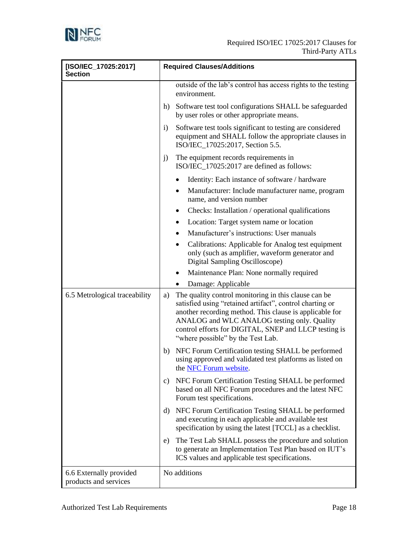

| [ISO/IEC_17025:2017]<br><b>Section</b>           | <b>Required Clauses/Additions</b>                                                                                                                                                                                                                                                                                              |
|--------------------------------------------------|--------------------------------------------------------------------------------------------------------------------------------------------------------------------------------------------------------------------------------------------------------------------------------------------------------------------------------|
|                                                  | outside of the lab's control has access rights to the testing<br>environment.                                                                                                                                                                                                                                                  |
|                                                  | Software test tool configurations SHALL be safeguarded<br>h)<br>by user roles or other appropriate means.                                                                                                                                                                                                                      |
|                                                  | Software test tools significant to testing are considered<br>$\mathbf{i}$<br>equipment and SHALL follow the appropriate clauses in<br>ISO/IEC_17025:2017, Section 5.5.                                                                                                                                                         |
|                                                  | The equipment records requirements in<br>j)<br>ISO/IEC_17025:2017 are defined as follows:                                                                                                                                                                                                                                      |
|                                                  | Identity: Each instance of software / hardware<br>٠                                                                                                                                                                                                                                                                            |
|                                                  | Manufacturer: Include manufacturer name, program<br>$\bullet$<br>name, and version number                                                                                                                                                                                                                                      |
|                                                  | Checks: Installation / operational qualifications<br>٠                                                                                                                                                                                                                                                                         |
|                                                  | Location: Target system name or location                                                                                                                                                                                                                                                                                       |
|                                                  | Manufacturer's instructions: User manuals                                                                                                                                                                                                                                                                                      |
|                                                  | Calibrations: Applicable for Analog test equipment<br>٠<br>only (such as amplifier, waveform generator and<br>Digital Sampling Oscilloscope)                                                                                                                                                                                   |
|                                                  | Maintenance Plan: None normally required<br>٠                                                                                                                                                                                                                                                                                  |
|                                                  | Damage: Applicable                                                                                                                                                                                                                                                                                                             |
| 6.5 Metrological traceability                    | The quality control monitoring in this clause can be<br>a)<br>satisfied using "retained artifact", control charting or<br>another recording method. This clause is applicable for<br>ANALOG and WLC ANALOG testing only. Quality<br>control efforts for DIGITAL, SNEP and LLCP testing is<br>"where possible" by the Test Lab. |
|                                                  | NFC Forum Certification testing SHALL be performed<br>b)<br>using approved and validated test platforms as listed on<br>the NFC Forum website.                                                                                                                                                                                 |
|                                                  | NFC Forum Certification Testing SHALL be performed<br>c)<br>based on all NFC Forum procedures and the latest NFC<br>Forum test specifications.                                                                                                                                                                                 |
|                                                  | d) NFC Forum Certification Testing SHALL be performed<br>and executing in each applicable and available test<br>specification by using the latest [TCCL] as a checklist.                                                                                                                                                       |
|                                                  | The Test Lab SHALL possess the procedure and solution<br>e)<br>to generate an Implementation Test Plan based on IUT's<br>ICS values and applicable test specifications.                                                                                                                                                        |
| 6.6 Externally provided<br>products and services | No additions                                                                                                                                                                                                                                                                                                                   |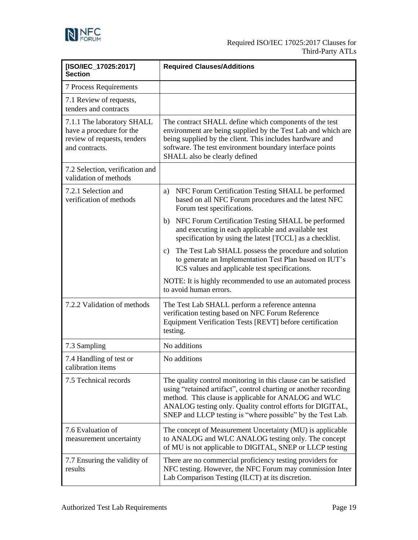

| [ISO/IEC_17025:2017]<br><b>Section</b>                                                                  | <b>Required Clauses/Additions</b>                                                                                                                                                                                                                                                                                     |  |
|---------------------------------------------------------------------------------------------------------|-----------------------------------------------------------------------------------------------------------------------------------------------------------------------------------------------------------------------------------------------------------------------------------------------------------------------|--|
| <b>7 Process Requirements</b>                                                                           |                                                                                                                                                                                                                                                                                                                       |  |
| 7.1 Review of requests,<br>tenders and contracts                                                        |                                                                                                                                                                                                                                                                                                                       |  |
| 7.1.1 The laboratory SHALL<br>have a procedure for the<br>review of requests, tenders<br>and contracts. | The contract SHALL define which components of the test<br>environment are being supplied by the Test Lab and which are<br>being supplied by the client. This includes hardware and<br>software. The test environment boundary interface points<br>SHALL also be clearly defined                                       |  |
| 7.2 Selection, verification and<br>validation of methods                                                |                                                                                                                                                                                                                                                                                                                       |  |
| 7.2.1 Selection and<br>verification of methods                                                          | NFC Forum Certification Testing SHALL be performed<br>a)<br>based on all NFC Forum procedures and the latest NFC<br>Forum test specifications.                                                                                                                                                                        |  |
|                                                                                                         | NFC Forum Certification Testing SHALL be performed<br>b)<br>and executing in each applicable and available test<br>specification by using the latest [TCCL] as a checklist.                                                                                                                                           |  |
|                                                                                                         | The Test Lab SHALL possess the procedure and solution<br>c)<br>to generate an Implementation Test Plan based on IUT's<br>ICS values and applicable test specifications.                                                                                                                                               |  |
|                                                                                                         | NOTE: It is highly recommended to use an automated process<br>to avoid human errors.                                                                                                                                                                                                                                  |  |
| 7.2.2 Validation of methods                                                                             | The Test Lab SHALL perform a reference antenna<br>verification testing based on NFC Forum Reference<br>Equipment Verification Tests [REVT] before certification<br>testing.                                                                                                                                           |  |
| 7.3 Sampling                                                                                            | No additions                                                                                                                                                                                                                                                                                                          |  |
| 7.4 Handling of test or<br>calibration items                                                            | No additions                                                                                                                                                                                                                                                                                                          |  |
| 7.5 Technical records                                                                                   | The quality control monitoring in this clause can be satisfied<br>using "retained artifact", control charting or another recording<br>method. This clause is applicable for ANALOG and WLC<br>ANALOG testing only. Quality control efforts for DIGITAL,<br>SNEP and LLCP testing is "where possible" by the Test Lab. |  |
| 7.6 Evaluation of<br>measurement uncertainty                                                            | The concept of Measurement Uncertainty (MU) is applicable<br>to ANALOG and WLC ANALOG testing only. The concept<br>of MU is not applicable to DIGITAL, SNEP or LLCP testing                                                                                                                                           |  |
| 7.7 Ensuring the validity of<br>results                                                                 | There are no commercial proficiency testing providers for<br>NFC testing. However, the NFC Forum may commission Inter<br>Lab Comparison Testing (ILCT) at its discretion.                                                                                                                                             |  |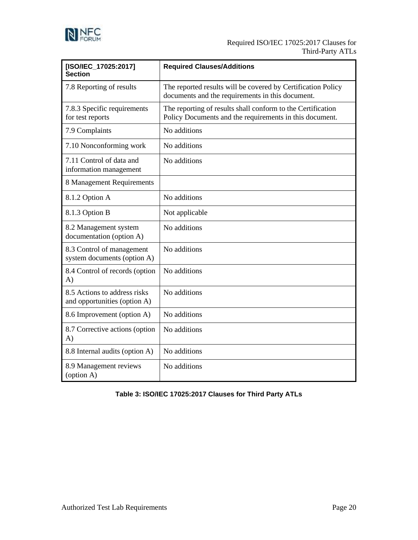

| [ISO/IEC 17025:2017]<br><b>Section</b>                       | <b>Required Clauses/Additions</b>                                                                                      |
|--------------------------------------------------------------|------------------------------------------------------------------------------------------------------------------------|
| 7.8 Reporting of results                                     | The reported results will be covered by Certification Policy<br>documents and the requirements in this document.       |
| 7.8.3 Specific requirements<br>for test reports              | The reporting of results shall conform to the Certification<br>Policy Documents and the requirements in this document. |
| 7.9 Complaints                                               | No additions                                                                                                           |
| 7.10 Nonconforming work                                      | No additions                                                                                                           |
| 7.11 Control of data and<br>information management           | No additions                                                                                                           |
| 8 Management Requirements                                    |                                                                                                                        |
| 8.1.2 Option A                                               | No additions                                                                                                           |
| 8.1.3 Option B                                               | Not applicable                                                                                                         |
| 8.2 Management system<br>documentation (option A)            | No additions                                                                                                           |
| 8.3 Control of management<br>system documents (option A)     | No additions                                                                                                           |
| 8.4 Control of records (option<br>$\mathbf{A}$               | No additions                                                                                                           |
| 8.5 Actions to address risks<br>and opportunities (option A) | No additions                                                                                                           |
| 8.6 Improvement (option A)                                   | No additions                                                                                                           |
| 8.7 Corrective actions (option<br>$\mathbf{A}$               | No additions                                                                                                           |
| 8.8 Internal audits (option A)                               | No additions                                                                                                           |
| 8.9 Management reviews<br>(option A)                         | No additions                                                                                                           |

<span id="page-23-0"></span>**Table 3: ISO/IEC 17025:2017 Clauses for Third Party ATLs**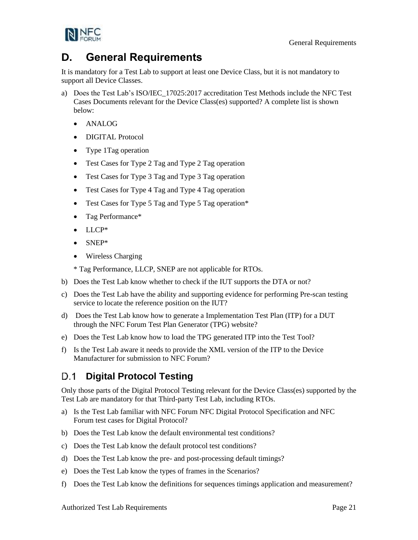General Requirements



## <span id="page-24-0"></span>**D. General Requirements**

It is mandatory for a Test Lab to support at least one Device Class, but it is not mandatory to support all Device Classes.

- a) Does the Test Lab's [ISO/IEC\\_17025:2017](#page-4-6) accreditation Test Methods include the NFC Test Cases Documents relevant for the Device Class(es) supported? A complete list is shown below:
	- ANALOG
	- DIGITAL Protocol
	- Type 1Tag operation
	- Test Cases for Type 2 Tag and Type 2 Tag operation
	- Test Cases for Type 3 Tag and Type 3 Tag operation
	- Test Cases for Type 4 Tag and Type 4 Tag operation
	- Test Cases for Type 5 Tag and Type 5 Tag operation\*
	- Tag Performance\*
	- LLCP\*
	- SNEP\*
	- Wireless Charging

\* Tag Performance, LLCP, SNEP are not applicable for RTOs.

- b) Does the Test Lab know whether to check if the IUT supports the DTA or not?
- c) Does the Test Lab have the ability and supporting evidence for performing Pre-scan testing service to locate the reference position on the IUT?
- d) Does the Test Lab know how to generate a Implementation Test Plan (ITP) for a DUT through the NFC Forum Test Plan Generator (TPG) website?
- e) Does the Test Lab know how to load the TPG generated ITP into the Test Tool?
- f) Is the Test Lab aware it needs to provide the XML version of the ITP to the Device Manufacturer for submission to NFC Forum?

#### <span id="page-24-1"></span>D.1 **Digital Protocol Testing**

Only those parts of the Digital Protocol Testing relevant for the Device Class(es) supported by the Test Lab are mandatory for that Third-party Test Lab, including RTOs.

- a) Is the Test Lab familiar with NFC Forum NFC Digital Protocol Specification and NFC Forum test cases for Digital Protocol?
- b) Does the Test Lab know the default environmental test conditions?
- c) Does the Test Lab know the default protocol test conditions?
- d) Does the Test Lab know the pre- and post-processing default timings?
- e) Does the Test Lab know the types of frames in the Scenarios?
- f) Does the Test Lab know the definitions for sequences timings application and measurement?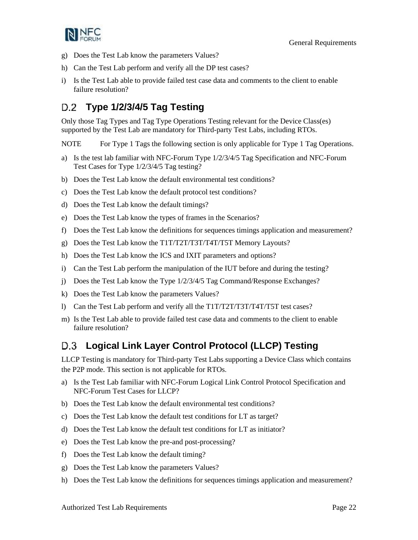

- g) Does the Test Lab know the parameters Values?
- h) Can the Test Lab perform and verify all the DP test cases?
- i) Is the Test Lab able to provide failed test case data and comments to the client to enable failure resolution?

#### <span id="page-25-0"></span>**Type 1/2/3/4/5 Tag Testing** D.2

Only those Tag Types and Tag Type Operations Testing relevant for the Device Class(es) supported by the Test Lab are mandatory for Third-party Test Labs, including RTOs.

NOTE For Type 1 Tags the following section is only applicable for Type 1 Tag Operations.

- a) Is the test lab familiar with NFC-Forum Type 1/2/3/4/5 Tag Specification and NFC-Forum Test Cases for Type 1/2/3/4/5 Tag testing?
- b) Does the Test Lab know the default environmental test conditions?
- c) Does the Test Lab know the default protocol test conditions?
- d) Does the Test Lab know the default timings?
- e) Does the Test Lab know the types of frames in the Scenarios?
- f) Does the Test Lab know the definitions for sequences timings application and measurement?
- g) Does the Test Lab know the T1T/T2T/T3T/T4T/T5T Memory Layouts?
- h) Does the Test Lab know the ICS and IXIT parameters and options?
- i) Can the Test Lab perform the manipulation of the IUT before and during the testing?
- j) Does the Test Lab know the Type 1/2/3/4/5 Tag Command/Response Exchanges?
- k) Does the Test Lab know the parameters Values?
- l) Can the Test Lab perform and verify all the T1T/T2T/T3T/T4T/T5T test cases?
- m) Is the Test Lab able to provide failed test case data and comments to the client to enable failure resolution?

## <span id="page-25-1"></span>**Logical Link Layer Control Protocol (LLCP) Testing**

LLCP Testing is mandatory for Third-party Test Labs supporting a Device Class which contains the P2P mode. This section is not applicable for RTOs.

- a) Is the Test Lab familiar with NFC-Forum Logical Link Control Protocol Specification and NFC-Forum Test Cases for LLCP?
- b) Does the Test Lab know the default environmental test conditions?
- c) Does the Test Lab know the default test conditions for LT as target?
- d) Does the Test Lab know the default test conditions for LT as initiator?
- e) Does the Test Lab know the pre-and post-processing?
- f) Does the Test Lab know the default timing?
- g) Does the Test Lab know the parameters Values?
- h) Does the Test Lab know the definitions for sequences timings application and measurement?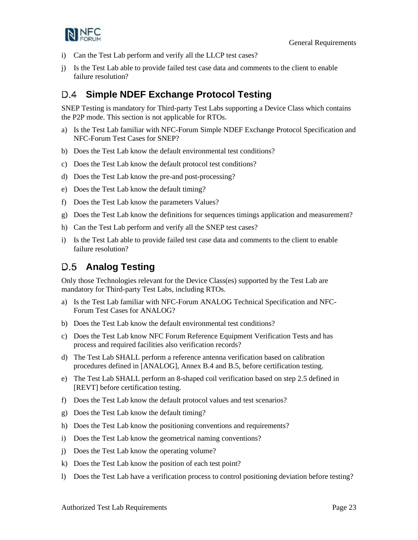

- i) Can the Test Lab perform and verify all the LLCP test cases?
- j) Is the Test Lab able to provide failed test case data and comments to the client to enable failure resolution?

#### <span id="page-26-0"></span>**Simple NDEF Exchange Protocol Testing** D.4

SNEP Testing is mandatory for Third-party Test Labs supporting a Device Class which contains the P2P mode. This section is not applicable for RTOs.

- a) Is the Test Lab familiar with NFC-Forum Simple NDEF Exchange Protocol Specification and NFC-Forum Test Cases for SNEP?
- b) Does the Test Lab know the default environmental test conditions?
- c) Does the Test Lab know the default protocol test conditions?
- d) Does the Test Lab know the pre-and post-processing?
- e) Does the Test Lab know the default timing?
- f) Does the Test Lab know the parameters Values?
- g) Does the Test Lab know the definitions for sequences timings application and measurement?
- h) Can the Test Lab perform and verify all the SNEP test cases?
- i) Is the Test Lab able to provide failed test case data and comments to the client to enable failure resolution?

## <span id="page-26-1"></span>D.5 Analog Testing

Only those Technologies relevant for the Device Class(es) supported by the Test Lab are mandatory for Third-party Test Labs, including RTOs.

- a) Is the Test Lab familiar with NFC-Forum ANALOG Technical Specification and NFC-Forum Test Cases for ANALOG?
- b) Does the Test Lab know the default environmental test conditions?
- c) Does the Test Lab know NFC Forum Reference Equipment Verification Tests and has process and required facilities also verification records?
- d) The Test Lab SHALL perform a reference antenna verification based on calibration procedures defined in [\[ANALOG\],](#page-4-9) Annex B.4 and B.5, before certification testing.
- e) The Test Lab SHALL perform an 8-shaped coil verification based on step 2.5 defined in [\[REVT\]](#page-5-8) before certification testing.
- f) Does the Test Lab know the default protocol values and test scenarios?
- g) Does the Test Lab know the default timing?
- h) Does the Test Lab know the positioning conventions and requirements?
- i) Does the Test Lab know the geometrical naming conventions?
- j) Does the Test Lab know the operating volume?
- k) Does the Test Lab know the position of each test point?
- l) Does the Test Lab have a verification process to control positioning deviation before testing?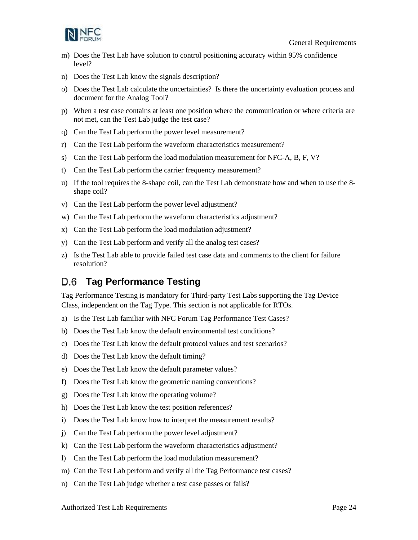

- m) Does the Test Lab have solution to control positioning accuracy within 95% confidence level?
- n) Does the Test Lab know the signals description?
- o) Does the Test Lab calculate the uncertainties? Is there the uncertainty evaluation process and document for the Analog Tool?
- p) When a test case contains at least one position where the communication or where criteria are not met, can the Test Lab judge the test case?
- q) Can the Test Lab perform the power level measurement?
- r) Can the Test Lab perform the waveform characteristics measurement?
- s) Can the Test Lab perform the load modulation measurement for NFC-A, B, F, V?
- t) Can the Test Lab perform the carrier frequency measurement?
- u) If the tool requires the 8-shape coil, can the Test Lab demonstrate how and when to use the 8 shape coil?
- v) Can the Test Lab perform the power level adjustment?
- w) Can the Test Lab perform the waveform characteristics adjustment?
- x) Can the Test Lab perform the load modulation adjustment?
- y) Can the Test Lab perform and verify all the analog test cases?
- z) Is the Test Lab able to provide failed test case data and comments to the client for failure resolution?

#### <span id="page-27-0"></span>**Tag Performance Testing** D.6

Tag Performance Testing is mandatory for Third-party Test Labs supporting the Tag Device Class, independent on the Tag Type. This section is not applicable for RTOs.

- a) Is the Test Lab familiar with NFC Forum Tag Performance Test Cases?
- b) Does the Test Lab know the default environmental test conditions?
- c) Does the Test Lab know the default protocol values and test scenarios?
- d) Does the Test Lab know the default timing?
- e) Does the Test Lab know the default parameter values?
- f) Does the Test Lab know the geometric naming conventions?
- g) Does the Test Lab know the operating volume?
- h) Does the Test Lab know the test position references?
- i) Does the Test Lab know how to interpret the measurement results?
- j) Can the Test Lab perform the power level adjustment?
- k) Can the Test Lab perform the waveform characteristics adjustment?
- l) Can the Test Lab perform the load modulation measurement?
- m) Can the Test Lab perform and verify all the Tag Performance test cases?
- n) Can the Test Lab judge whether a test case passes or fails?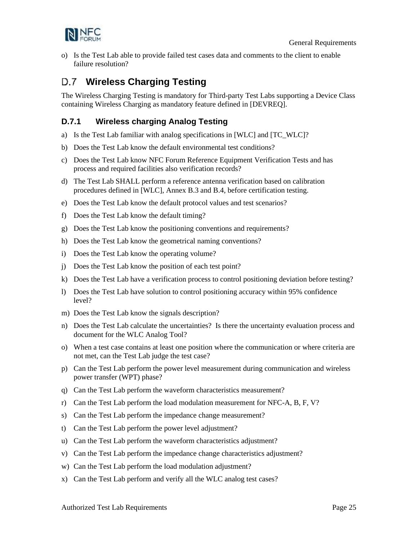

o) Is the Test Lab able to provide failed test cases data and comments to the client to enable failure resolution?

## <span id="page-28-0"></span>**Wireless Charging Testing**

The Wireless Charging Testing is mandatory for Third-party Test Labs supporting a Device Class containing Wireless Charging as mandatory feature defined in [\[DEVREQ\].](#page-4-10)

### <span id="page-28-1"></span>**D.7.1 Wireless charging Analog Testing**

- a) Is the Test Lab familiar with analog specifications in [\[WLC\]](#page-5-5) and [\[TC\\_WLC\]?](#page-5-9)
- b) Does the Test Lab know the default environmental test conditions?
- c) Does the Test Lab know NFC Forum Reference Equipment Verification Tests and has process and required facilities also verification records?
- d) The Test Lab SHALL perform a reference antenna verification based on calibration procedures defined in [\[WLC\],](#page-5-5) Annex B.3 and B.4, before certification testing.
- e) Does the Test Lab know the default protocol values and test scenarios?
- f) Does the Test Lab know the default timing?
- g) Does the Test Lab know the positioning conventions and requirements?
- h) Does the Test Lab know the geometrical naming conventions?
- i) Does the Test Lab know the operating volume?
- j) Does the Test Lab know the position of each test point?
- k) Does the Test Lab have a verification process to control positioning deviation before testing?
- l) Does the Test Lab have solution to control positioning accuracy within 95% confidence level?
- m) Does the Test Lab know the signals description?
- n) Does the Test Lab calculate the uncertainties? Is there the uncertainty evaluation process and document for the WLC Analog Tool?
- o) When a test case contains at least one position where the communication or where criteria are not met, can the Test Lab judge the test case?
- p) Can the Test Lab perform the power level measurement during communication and wireless power transfer (WPT) phase?
- q) Can the Test Lab perform the waveform characteristics measurement?
- r) Can the Test Lab perform the load modulation measurement for NFC-A, B, F, V?
- s) Can the Test Lab perform the impedance change measurement?
- t) Can the Test Lab perform the power level adjustment?
- u) Can the Test Lab perform the waveform characteristics adjustment?
- v) Can the Test Lab perform the impedance change characteristics adjustment?
- w) Can the Test Lab perform the load modulation adjustment?
- x) Can the Test Lab perform and verify all the WLC analog test cases?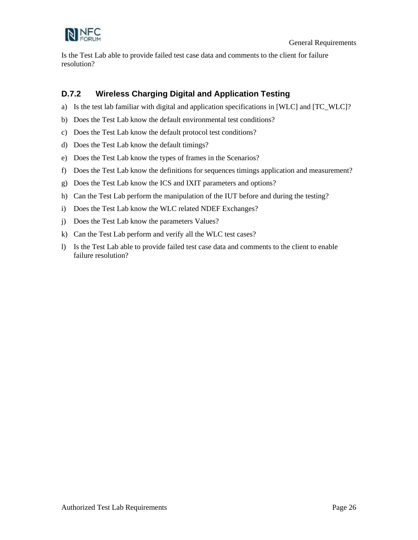

Is the Test Lab able to provide failed test case data and comments to the client for failure resolution?

### <span id="page-29-0"></span>**D.7.2 Wireless Charging Digital and Application Testing**

- a) Is the test lab familiar with digital and application specifications in [\[WLC\]](#page-5-5) an[d \[TC\\_WLC\]?](#page-5-9)
- b) Does the Test Lab know the default environmental test conditions?
- c) Does the Test Lab know the default protocol test conditions?
- d) Does the Test Lab know the default timings?
- e) Does the Test Lab know the types of frames in the Scenarios?
- f) Does the Test Lab know the definitions for sequences timings application and measurement?
- g) Does the Test Lab know the ICS and IXIT parameters and options?
- h) Can the Test Lab perform the manipulation of the IUT before and during the testing?
- i) Does the Test Lab know the WLC related NDEF Exchanges?
- j) Does the Test Lab know the parameters Values?
- k) Can the Test Lab perform and verify all the WLC test cases?
- l) Is the Test Lab able to provide failed test case data and comments to the client to enable failure resolution?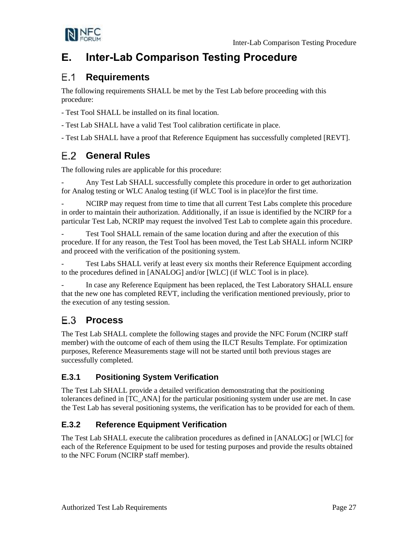

# <span id="page-30-0"></span>**E. Inter-Lab Comparison Testing Procedure**

#### <span id="page-30-1"></span> $E.1$ **Requirements**

The following requirements SHALL be met by the Test Lab before proceeding with this procedure:

- Test Tool SHALL be installed on its final location.

- Test Lab SHALL have a valid Test Tool calibration certificate in place.

- Test Lab SHALL have a proof that Reference Equipment has successfully completed [\[REVT\].](#page-5-8)

## <span id="page-30-2"></span>**General Rules**

The following rules are applicable for this procedure:

Any Test Lab SHALL successfully complete this procedure in order to get authorization for Analog testing or WLC Analog testing (if WLC Tool is in place)for the first time.

NCIRP may request from time to time that all current Test Labs complete this procedure in order to maintain their authorization. Additionally, if an issue is identified by the NCIRP for a particular Test Lab, NCRIP may request the involved Test Lab to complete again this procedure.

Test Tool SHALL remain of the same location during and after the execution of this procedure. If for any reason, the Test Tool has been moved, the Test Lab SHALL inform NCIRP and proceed with the verification of the positioning system.

Test Labs SHALL verify at least every six months their Reference Equipment according to the procedures defined in [\[ANALOG\]](#page-4-9) and/o[r \[WLC\]](#page-5-5) (if WLC Tool is in place).

In case any Reference Equipment has been replaced, the Test Laboratory SHALL ensure that the new one has completed REVT, including the verification mentioned previously, prior to the execution of any testing session.

#### <span id="page-30-3"></span> $E.3$ **Process**

The Test Lab SHALL complete the following stages and provide the NFC Forum (NCIRP staff member) with the outcome of each of them using the ILCT Results Template. For optimization purposes, Reference Measurements stage will not be started until both previous stages are successfully completed.

## <span id="page-30-4"></span>**E.3.1 Positioning System Verification**

The Test Lab SHALL provide a detailed verification demonstrating that the positioning tolerances defined in [\[TC\\_ANA\]](#page-5-10) for the particular positioning system under use are met. In case the Test Lab has several positioning systems, the verification has to be provided for each of them.

### <span id="page-30-5"></span>**E.3.2 Reference Equipment Verification**

The Test Lab SHALL execute the calibration procedures as defined i[n \[ANALOG\]](#page-4-9) or [\[WLC\]](#page-5-5) for each of the Reference Equipment to be used for testing purposes and provide the results obtained to the NFC Forum (NCIRP staff member).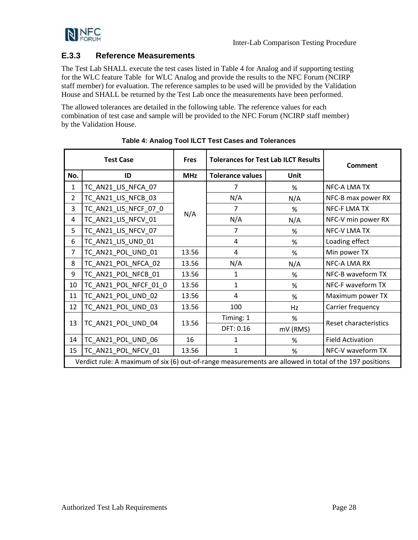

### <span id="page-31-0"></span>**E.3.3 Reference Measurements**

The Test Lab SHALL execute the test cases listed in [Table](#page-31-1) 4 for Analog and if supporting testing for the WLC feature [Table](#page-32-1) for WLC Analog and provide the results to the NFC Forum (NCIRP staff member) for evaluation. The reference samples to be used will be provided by the Validation House and SHALL be returned by the Test Lab once the measurements have been performed.

The allowed tolerances are detailed in the following table. The reference values for each combination of test case and sample will be provided to the NFC Forum (NCIRP staff member) by the Validation House.

<span id="page-31-1"></span>

| <b>Test Case</b> |                                                                                                        | <b>Fres</b> | <b>Tolerances for Test Lab ILCT Results</b> | Comment  |                              |  |
|------------------|--------------------------------------------------------------------------------------------------------|-------------|---------------------------------------------|----------|------------------------------|--|
| No.              | ID                                                                                                     | <b>MHz</b>  | <b>Tolerance values</b><br>Unit             |          |                              |  |
| 1                | TC_AN21_LIS_NFCA_07                                                                                    |             | 7                                           | %        | NFC-A LMA TX                 |  |
| $\overline{2}$   | TC_AN21_LIS_NFCB_03                                                                                    |             | N/A                                         | N/A      | NFC-B max power RX           |  |
| 3                | TC_AN21_LIS_NFCF_07_0                                                                                  | N/A         | $\overline{7}$                              | %        | NFC-F LMA TX                 |  |
| 4                | TC_AN21_LIS_NFCV_01                                                                                    |             | N/A                                         | N/A      | NFC-V min power RX           |  |
| 5                | TC_AN21_LIS_NFCV_07                                                                                    |             | $\overline{7}$                              | %        | <b>NFC-V LMA TX</b>          |  |
| 6                | TC_AN21_LIS_UND_01                                                                                     |             | 4                                           | %        | Loading effect               |  |
| $\overline{7}$   | TC_AN21_POL_UND_01                                                                                     | 13.56       | 4                                           | %        | Min power TX                 |  |
| 8                | TC_AN21_POL_NFCA_02                                                                                    | 13.56       | N/A                                         | N/A      | NFC-A LMA RX                 |  |
| 9                | TC_AN21_POL_NFCB_01                                                                                    | 13.56       | 1                                           | %        | NFC-B waveform TX            |  |
| 10               | TC_AN21_POL_NFCF_01_0                                                                                  | 13.56       | $\mathbf{1}$                                | %        | NFC-F waveform TX            |  |
| 11               | TC_AN21_POL_UND_02                                                                                     | 13.56       | 4                                           | %        | Maximum power TX             |  |
| 12               | TC_AN21_POL_UND_03                                                                                     | 13.56       | 100                                         | Hz       | Carrier frequency            |  |
| 13               | TC_AN21_POL_UND_04                                                                                     | 13.56       | Timing: 1                                   | %        | <b>Reset characteristics</b> |  |
|                  |                                                                                                        |             | DFT: 0.16                                   | mV (RMS) |                              |  |
| 14               | TC_AN21_POL_UND_06                                                                                     | 16          | 1                                           | %        | <b>Field Activation</b>      |  |
| 15               | TC_AN21_POL_NFCV_01                                                                                    | 13.56       | 1                                           | %        | NFC-V waveform TX            |  |
|                  | Verdict rule: A maximum of six (6) out-of-range measurements are allowed in total of the 197 positions |             |                                             |          |                              |  |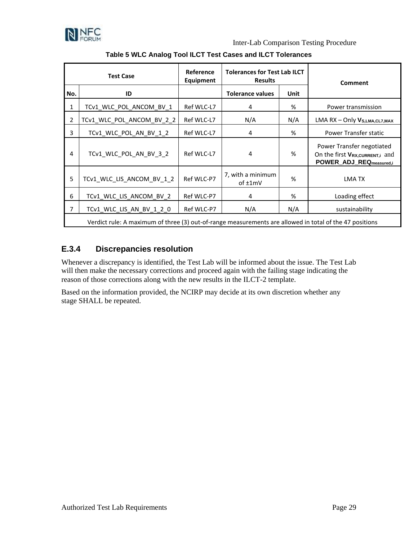

Inter-Lab Comparison Testing Procedure

<span id="page-32-1"></span>

| <b>Test Case</b> |                                                                                                         | Reference<br><b>Equipment</b> | <b>Tolerances for Test Lab ILCT</b><br><b>Results</b> |     | <b>Comment</b>                                                                         |  |
|------------------|---------------------------------------------------------------------------------------------------------|-------------------------------|-------------------------------------------------------|-----|----------------------------------------------------------------------------------------|--|
| No.              | ID                                                                                                      |                               | <b>Tolerance values</b><br><b>Unit</b>                |     |                                                                                        |  |
| $\mathbf{1}$     | TCv1_WLC_POL_ANCOM_BV_1                                                                                 | Ref WLC-L7                    | 4                                                     | %   | Power transmission                                                                     |  |
| $\overline{2}$   | TCv1_WLC_POL_ANCOM_BV_2_2                                                                               | Ref WLC-L7                    | N/A                                                   | N/A | $LMA RX - Only Vs, LMA, CL7, MAX$                                                      |  |
| $\overline{3}$   | TCv1_WLC_POL_AN_BV_1_2                                                                                  | Ref WLC-L7                    | 4                                                     | %   | Power Transfer static                                                                  |  |
| 4                | TCv1_WLC_POL_AN_BV_3_2                                                                                  | Ref WLC-L7                    | 4                                                     | %   | Power Transfer negotiated<br>On the first VRX, CURRENT, and<br>POWER_ADJ_REQmeasured,i |  |
| 5                | TCv1_WLC_LIS_ANCOM_BV_1_2                                                                               | Ref WLC-P7                    | 7, with a minimum<br>$of \pm 1mV$                     | %   | LMA TX                                                                                 |  |
| 6                | TCv1_WLC_LIS_ANCOM_BV_2                                                                                 | Ref WLC-P7                    | 4                                                     | %   | Loading effect                                                                         |  |
| $\overline{7}$   | TCv1_WLC_LIS_AN_BV_1_2_0                                                                                | Ref WLC-P7                    | N/A                                                   | N/A | sustainability                                                                         |  |
|                  | Verdict rule: A maximum of three (3) out-of-range measurements are allowed in total of the 47 positions |                               |                                                       |     |                                                                                        |  |

### **Table 5 WLC Analog Tool ILCT Test Cases and ILCT Tolerances**

### <span id="page-32-0"></span>**E.3.4 Discrepancies resolution**

Whenever a discrepancy is identified, the Test Lab will be informed about the issue. The Test Lab will then make the necessary corrections and proceed again with the failing stage indicating the reason of those corrections along with the new results in the ILCT-2 template.

Based on the information provided, the NCIRP may decide at its own discretion whether any stage SHALL be repeated.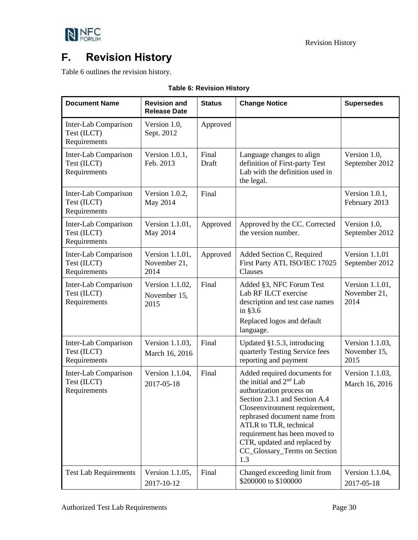

# <span id="page-33-0"></span>**F. Revision History**

[Table 6](#page-33-1) outlines the revision history.

<span id="page-33-1"></span>

| <b>Document Name</b>                                | <b>Revision and</b><br><b>Release Date</b> | <b>Status</b>  | <b>Change Notice</b>                                                                                                                                                                                                                                                                                                                | <b>Supersedes</b>                       |
|-----------------------------------------------------|--------------------------------------------|----------------|-------------------------------------------------------------------------------------------------------------------------------------------------------------------------------------------------------------------------------------------------------------------------------------------------------------------------------------|-----------------------------------------|
| Inter-Lab Comparison<br>Test (ILCT)<br>Requirements | Version 1.0,<br>Sept. 2012                 | Approved       |                                                                                                                                                                                                                                                                                                                                     |                                         |
| Inter-Lab Comparison<br>Test (ILCT)<br>Requirements | Version $1.0.1$ ,<br>Feb. 2013             | Final<br>Draft | Language changes to align<br>definition of First-party Test<br>Lab with the definition used in<br>the legal.                                                                                                                                                                                                                        | Version 1.0,<br>September 2012          |
| Inter-Lab Comparison<br>Test (ILCT)<br>Requirements | Version 1.0.2,<br>May 2014                 | Final          |                                                                                                                                                                                                                                                                                                                                     | Version 1.0.1,<br>February 2013         |
| Inter-Lab Comparison<br>Test (ILCT)<br>Requirements | Version 1.1.01,<br>May 2014                | Approved       | Approved by the CC. Corrected<br>the version number.                                                                                                                                                                                                                                                                                | Version 1.0,<br>September 2012          |
| Inter-Lab Comparison<br>Test (ILCT)<br>Requirements | Version 1.1.01,<br>November 21,<br>2014    | Approved       | Added Section C, Required<br>First Party ATL ISO/IEC 17025<br>Clauses                                                                                                                                                                                                                                                               | Version 1.1.01<br>September 2012        |
| Inter-Lab Comparison<br>Test (ILCT)<br>Requirements | Version 1.1.02,<br>November 15,<br>2015    | Final          | Added §3, NFC Forum Test<br>Lab RF ILCT exercise<br>description and test case names<br>in $§3.6$<br>Replaced logos and default<br>language.                                                                                                                                                                                         | Version 1.1.01,<br>November 21,<br>2014 |
| Inter-Lab Comparison<br>Test (ILCT)<br>Requirements | Version 1.1.03,<br>March 16, 2016          | Final          | Updated §1.5.3, introducing<br>quarterly Testing Service fees<br>reporting and payment                                                                                                                                                                                                                                              | Version 1.1.03,<br>November 15,<br>2015 |
| Inter-Lab Comparison<br>Test (ILCT)<br>Requirements | Version 1.1.04,<br>2017-05-18              | Final          | Added required documents for<br>the initial and 2 <sup>nd</sup> Lab<br>authorization process on<br>Section 2.3.1 and Section A.4<br>Closeenvironment requirement,<br>rephrased document name from<br>ATLR to TLR, technical<br>requirement has been moved to<br>CTR, updated and replaced by<br>CC_Glossary_Terms on Section<br>1.3 | Version 1.1.03,<br>March 16, 2016       |
| <b>Test Lab Requirements</b>                        | Version 1.1.05,<br>2017-10-12              | Final          | Changed exceeding limit from<br>\$200000 to \$100000                                                                                                                                                                                                                                                                                | Version 1.1.04,<br>2017-05-18           |

**Table 6: Revision History**